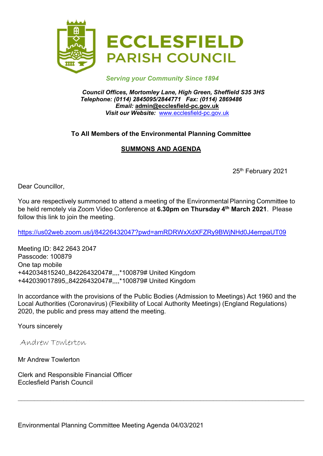

### Serving your Community Since 1894

Council Offices, Mortomley Lane, High Green, Sheffield S35 3HS Telephone: (0114) 2845095/2844771 Fax: (0114) 2869486 Email: admin@ecclesfield-pc.gov.uk Visit our Website: www.ecclesfield-pc.gov.uk

### To All Members of the Environmental Planning Committee

# SUMMONS AND AGENDA

25<sup>th</sup> February 2021

Dear Councillor,

You are respectively summoned to attend a meeting of the Environmental Planning Committee to be held remotely via Zoom Video Conference at 6.30pm on Thursday 4<sup>th</sup> March 2021. Please follow this link to join the meeting.

https://us02web.zoom.us/j/84226432047?pwd=amRDRWxXdXFZRy9BWjNHd0J4empaUT09

Meeting ID: 842 2643 2047 Passcode: 100879 One tap mobile +442034815240,,84226432047#,,,,\*100879# United Kingdom +442039017895,,84226432047#,,,,\*100879# United Kingdom

In accordance with the provisions of the Public Bodies (Admission to Meetings) Act 1960 and the Local Authorities (Coronavirus) (Flexibility of Local Authority Meetings) (England Regulations) 2020, the public and press may attend the meeting.

Yours sincerely

Andrew Towlerton

Mr Andrew Towlerton

Clerk and Responsible Financial Officer Ecclesfield Parish Council

Environmental Planning Committee Meeting Agenda 04/03/2021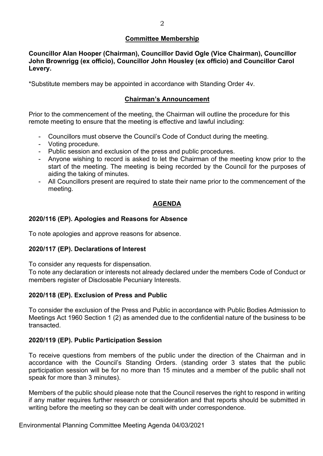### Committee Membership

Councillor Alan Hooper (Chairman), Councillor David Ogle (Vice Chairman), Councillor John Brownrigg (ex officio), Councillor John Housley (ex officio) and Councillor Carol Levery.

\*Substitute members may be appointed in accordance with Standing Order 4v.

# Chairman's Announcement

Prior to the commencement of the meeting, the Chairman will outline the procedure for this remote meeting to ensure that the meeting is effective and lawful including:

- Councillors must observe the Council's Code of Conduct during the meeting.
- Voting procedure.
- Public session and exclusion of the press and public procedures.
- Anyone wishing to record is asked to let the Chairman of the meeting know prior to the start of the meeting. The meeting is being recorded by the Council for the purposes of aiding the taking of minutes.
- All Councillors present are required to state their name prior to the commencement of the meeting.

# AGENDA

### 2020/116 (EP). Apologies and Reasons for Absence

To note apologies and approve reasons for absence.

#### 2020/117 (EP). Declarations of Interest

To consider any requests for dispensation.

To note any declaration or interests not already declared under the members Code of Conduct or members register of Disclosable Pecuniary Interests.

#### 2020/118 (EP). Exclusion of Press and Public

To consider the exclusion of the Press and Public in accordance with Public Bodies Admission to Meetings Act 1960 Section 1 (2) as amended due to the confidential nature of the business to be transacted.

#### 2020/119 (EP). Public Participation Session

To receive questions from members of the public under the direction of the Chairman and in accordance with the Council's Standing Orders. (standing order 3 states that the public participation session will be for no more than 15 minutes and a member of the public shall not speak for more than 3 minutes).

Members of the public should please note that the Council reserves the right to respond in writing if any matter requires further research or consideration and that reports should be submitted in writing before the meeting so they can be dealt with under correspondence.

Environmental Planning Committee Meeting Agenda 04/03/2021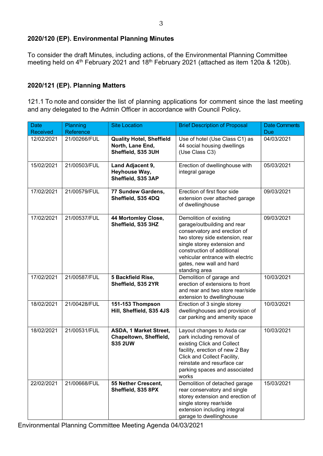### 2020/120 (EP). Environmental Planning Minutes

To consider the draft Minutes, including actions, of the Environmental Planning Committee meeting held on 4<sup>th</sup> February 2021 and 18<sup>th</sup> February 2021 (attached as item 120a & 120b).

### 2020/121 (EP). Planning Matters

121.1 To note and consider the list of planning applications for comment since the last meeting and any delegated to the Admin Officer in accordance with Council Policy.

| <b>Date</b><br>Received | <b>Planning</b><br>Reference | <b>Site Location</b>                                                      | <b>Brief Description of Proposal</b>                                                                                                                                                                                                                                   | <b>Date Comments</b><br><b>Due</b> |
|-------------------------|------------------------------|---------------------------------------------------------------------------|------------------------------------------------------------------------------------------------------------------------------------------------------------------------------------------------------------------------------------------------------------------------|------------------------------------|
| 12/02/2021              | 21/00266/FUL                 | <b>Quality Hotel, Sheffield</b><br>North, Lane End,<br>Sheffield, S35 3UH | Use of hotel (Use Class C1) as<br>44 social housing dwellings<br>(Use Class C3)                                                                                                                                                                                        | 04/03/2021                         |
| 15/02/2021              | 21/00503/FUL                 | Land Adjacent 9,<br>Heyhouse Way,<br>Sheffield, S35 3AP                   | Erection of dwellinghouse with<br>integral garage                                                                                                                                                                                                                      | 05/03/2021                         |
| 17/02/2021              | 21/00579/FUL                 | 77 Sundew Gardens,<br>Sheffield, S35 4DQ                                  | Erection of first floor side<br>extension over attached garage<br>of dwellinghouse                                                                                                                                                                                     | 09/03/2021                         |
| 17/02/2021              | 21/00537/FUL                 | 44 Mortomley Close,<br>Sheffield, S35 3HZ                                 | Demolition of existing<br>garage/outbuilding and rear<br>conservatory and erection of<br>two storey side extension, rear<br>single storey extension and<br>construction of additional<br>vehicular entrance with electric<br>gates, new wall and hard<br>standing area | 09/03/2021                         |
| 17/02/2021              | 21/00587/FUL                 | 5 Backfield Rise,<br>Sheffield, S35 2YR                                   | Demolition of garage and<br>erection of extensions to front<br>and rear and two store rear/side<br>extension to dwellinghouse                                                                                                                                          | 10/03/2021                         |
| 18/02/2021              | 21/00428/FUL                 | 151-153 Thompson<br>Hill, Sheffield, S35 4JS                              | Erection of 3 single storey<br>dwellinghouses and provision of<br>car parking and amenity space                                                                                                                                                                        | 10/03/2021                         |
| 18/02/2021              | 21/00531/FUL                 | ASDA, 1 Market Street,<br>Chapeltown, Sheffield,<br><b>S35 2UW</b>        | Layout changes to Asda car<br>park including removal of<br>existing Click and Collect<br>facility, erection of new 2 Bay<br>Click and Collect Facility,<br>reinstate and resurface car<br>parking spaces and associated<br>works                                       | 10/03/2021                         |
| 22/02/2021              | 21/00668/FUL                 | 55 Nether Crescent,<br>Sheffield, S35 8PX                                 | Demolition of detached garage<br>rear conservatory and single<br>storey extension and erection of<br>single storey rear/side<br>extension including integral<br>garage to dwellinghouse                                                                                | 15/03/2021                         |